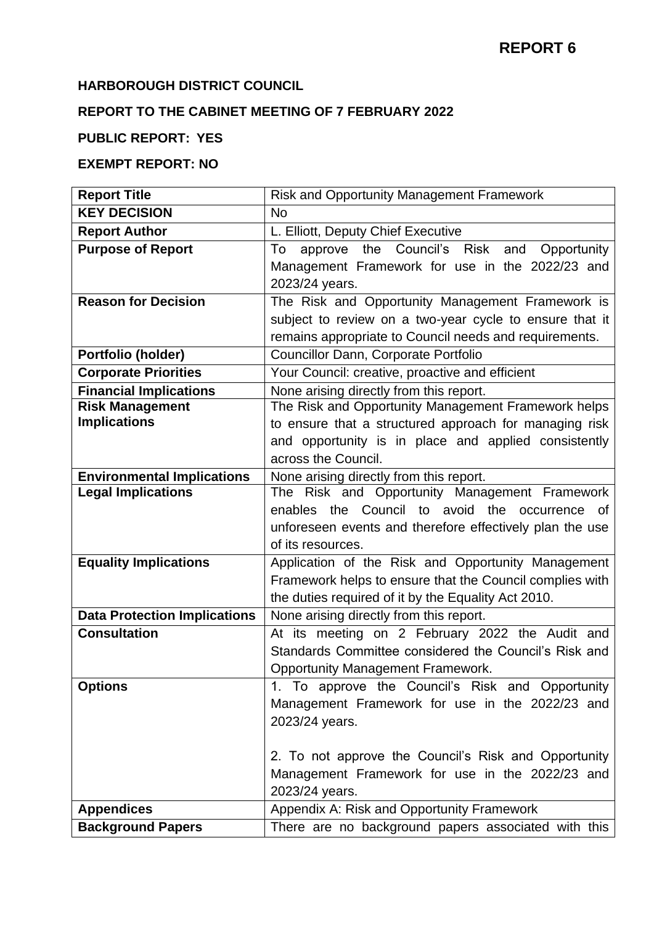### **HARBOROUGH DISTRICT COUNCIL**

# **REPORT TO THE CABINET MEETING OF 7 FEBRUARY 2022**

## **PUBLIC REPORT: YES**

### **EXEMPT REPORT: NO**

| <b>Report Title</b>                 | Risk and Opportunity Management Framework                |
|-------------------------------------|----------------------------------------------------------|
| <b>KEY DECISION</b>                 | <b>No</b>                                                |
| <b>Report Author</b>                | L. Elliott, Deputy Chief Executive                       |
| <b>Purpose of Report</b>            | approve the Council's Risk and<br>Opportunity<br>To      |
|                                     | Management Framework for use in the 2022/23 and          |
|                                     | 2023/24 years.                                           |
| <b>Reason for Decision</b>          | The Risk and Opportunity Management Framework is         |
|                                     | subject to review on a two-year cycle to ensure that it  |
|                                     | remains appropriate to Council needs and requirements.   |
| Portfolio (holder)                  | Councillor Dann, Corporate Portfolio                     |
| <b>Corporate Priorities</b>         | Your Council: creative, proactive and efficient          |
| <b>Financial Implications</b>       | None arising directly from this report.                  |
| <b>Risk Management</b>              | The Risk and Opportunity Management Framework helps      |
| <b>Implications</b>                 | to ensure that a structured approach for managing risk   |
|                                     | and opportunity is in place and applied consistently     |
|                                     | across the Council.                                      |
| <b>Environmental Implications</b>   | None arising directly from this report.                  |
| <b>Legal Implications</b>           | The Risk and Opportunity Management Framework            |
|                                     | enables the Council to avoid the occurrence<br>0f        |
|                                     | unforeseen events and therefore effectively plan the use |
|                                     | of its resources.                                        |
| <b>Equality Implications</b>        | Application of the Risk and Opportunity Management       |
|                                     | Framework helps to ensure that the Council complies with |
|                                     | the duties required of it by the Equality Act 2010.      |
| <b>Data Protection Implications</b> | None arising directly from this report.                  |
| <b>Consultation</b>                 | At its meeting on 2 February 2022 the Audit and          |
|                                     | Standards Committee considered the Council's Risk and    |
|                                     | <b>Opportunity Management Framework.</b>                 |
| <b>Options</b>                      | 1. To approve the Council's Risk and Opportunity         |
|                                     | Management Framework for use in the 2022/23 and          |
|                                     | 2023/24 years.                                           |
|                                     |                                                          |
|                                     | 2. To not approve the Council's Risk and Opportunity     |
|                                     | Management Framework for use in the 2022/23 and          |
|                                     | 2023/24 years.                                           |
| <b>Appendices</b>                   | Appendix A: Risk and Opportunity Framework               |
| <b>Background Papers</b>            | There are no background papers associated with this      |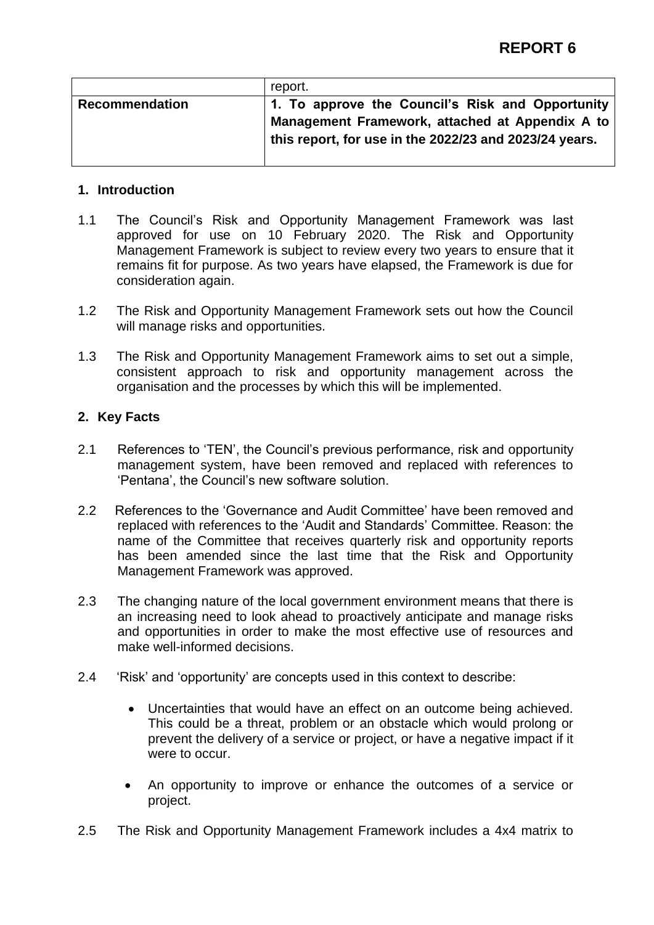|                       | report.                                                                                                                                                       |
|-----------------------|---------------------------------------------------------------------------------------------------------------------------------------------------------------|
| <b>Recommendation</b> | 1. To approve the Council's Risk and Opportunity<br>Management Framework, attached at Appendix A to<br>this report, for use in the 2022/23 and 2023/24 years. |

#### **1. Introduction**

- 1.1 The Council's Risk and Opportunity Management Framework was last approved for use on 10 February 2020. The Risk and Opportunity Management Framework is subject to review every two years to ensure that it remains fit for purpose. As two years have elapsed, the Framework is due for consideration again.
- 1.2 The Risk and Opportunity Management Framework sets out how the Council will manage risks and opportunities.
- 1.3 The Risk and Opportunity Management Framework aims to set out a simple, consistent approach to risk and opportunity management across the organisation and the processes by which this will be implemented.

#### **2. Key Facts**

- 2.1 References to 'TEN', the Council's previous performance, risk and opportunity management system, have been removed and replaced with references to 'Pentana', the Council's new software solution.
- 2.2 References to the 'Governance and Audit Committee' have been removed and replaced with references to the 'Audit and Standards' Committee. Reason: the name of the Committee that receives quarterly risk and opportunity reports has been amended since the last time that the Risk and Opportunity Management Framework was approved.
- 2.3 The changing nature of the local government environment means that there is an increasing need to look ahead to proactively anticipate and manage risks and opportunities in order to make the most effective use of resources and make well-informed decisions.
- 2.4 'Risk' and 'opportunity' are concepts used in this context to describe:
	- Uncertainties that would have an effect on an outcome being achieved. This could be a threat, problem or an obstacle which would prolong or prevent the delivery of a service or project, or have a negative impact if it were to occur.
	- An opportunity to improve or enhance the outcomes of a service or project.
- 2.5 The Risk and Opportunity Management Framework includes a 4x4 matrix to